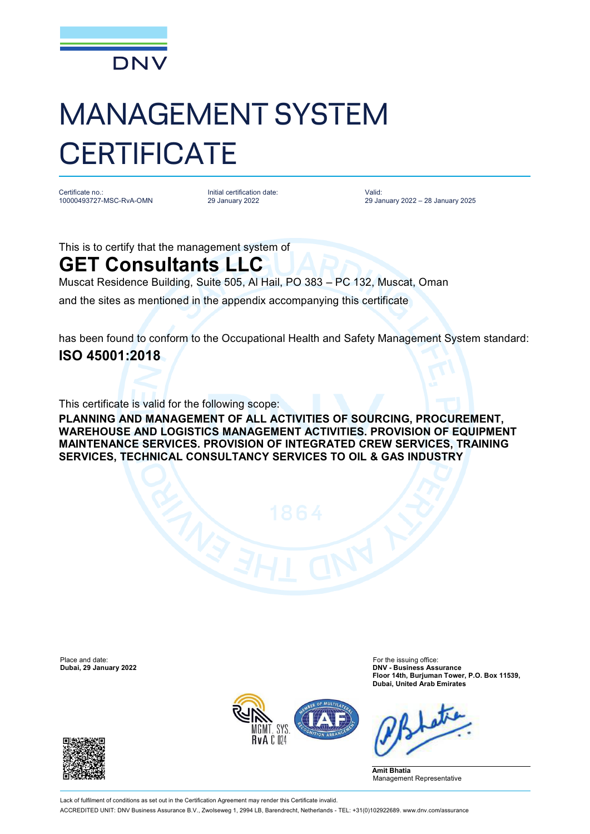

## MANAGEMENT SYSTEM **CERTIFICATE**

Certificate no.: 10000493727-MSC-RvA-OMN Initial certification date: 29 January 2022

Valid: 29 January 2022 – 28 January 2025

This is to certify that the management system of

## **GET Consultants LLC**

Muscat Residence Building, Suite 505, Al Hail, PO 383 – PC 132, Muscat, Oman

and the sites as mentioned in the appendix accompanying this certificate

has been found to conform to the Occupational Health and Safety Management System standard: **ISO 45001:2018**

This certificate is valid for the following scope:

**PLANNING AND MANAGEMENT OF ALL ACTIVITIES OF SOURCING, PROCUREMENT, WAREHOUSE AND LOGISTICS MANAGEMENT ACTIVITIES. PROVISION OF EQUIPMENT MAINTENANCE SERVICES. PROVISION OF INTEGRATED CREW SERVICES, TRAINING SERVICES, TECHNICAL CONSULTANCY SERVICES TO OIL & GAS INDUSTRY**

Place and date: The issuing office:<br> **Place and date:** For the issuing office:<br> **Dubai, 29 January 2022**<br> **DNV - Business Ass** 

**Dubai, 29 January 2022 DNV - Business Assurance Floor 14th, Burjuman Tower, P.O. Box 11539, Dubai, United Arab Emirates**



**Amit Bhatia** Management Representative

Lack of fulfilment of conditions as set out in the Certification Agreement may render this Certificate invalid. ACCREDITED UNIT: DNV Business Assurance B.V., Zwolseweg 1, 2994 LB, Barendrecht, Netherlands - TEL: +31(0)102922689. [www.dnv.com/assurance](http://www.dnv.com/assurance)